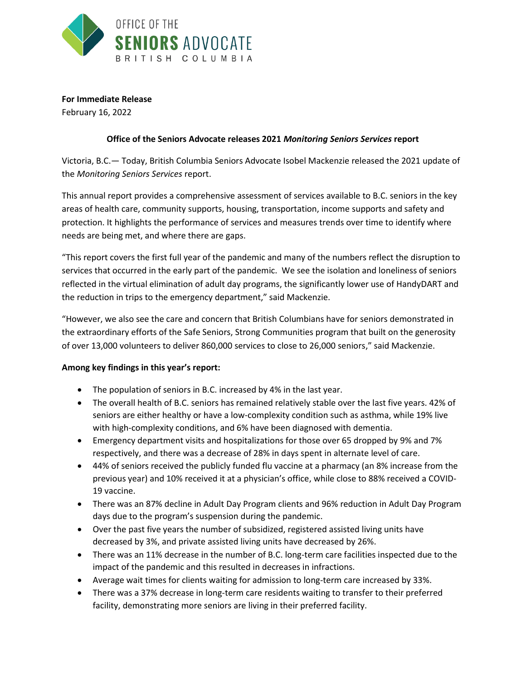

**For Immediate Release**

February 16, 2022

## **Office of the Seniors Advocate releases 2021** *Monitoring Seniors Services* **report**

Victoria, B.C.— Today, British Columbia Seniors Advocate Isobel Mackenzie released the 2021 update of the *Monitoring Seniors Services* report.

This annual report provides a comprehensive assessment of services available to B.C. seniors in the key areas of health care, community supports, housing, transportation, income supports and safety and protection. It highlights the performance of services and measures trends over time to identify where needs are being met, and where there are gaps.

"This report covers the first full year of the pandemic and many of the numbers reflect the disruption to services that occurred in the early part of the pandemic. We see the isolation and loneliness of seniors reflected in the virtual elimination of adult day programs, the significantly lower use of HandyDART and the reduction in trips to the emergency department," said Mackenzie.

"However, we also see the care and concern that British Columbians have for seniors demonstrated in the extraordinary efforts of the Safe Seniors, Strong Communities program that built on the generosity of over 13,000 volunteers to deliver 860,000 services to close to 26,000 seniors," said Mackenzie.

## **Among key findings in this year's report:**

- The population of seniors in B.C. increased by 4% in the last year.
- The overall health of B.C. seniors has remained relatively stable over the last five years. 42% of seniors are either healthy or have a low-complexity condition such as asthma, while 19% live with high-complexity conditions, and 6% have been diagnosed with dementia.
- Emergency department visits and hospitalizations for those over 65 dropped by 9% and 7% respectively, and there was a decrease of 28% in days spent in alternate level of care.
- 44% of seniors received the publicly funded flu vaccine at a pharmacy (an 8% increase from the previous year) and 10% received it at a physician's office, while close to 88% received a COVID-19 vaccine.
- There was an 87% decline in Adult Day Program clients and 96% reduction in Adult Day Program days due to the program's suspension during the pandemic.
- Over the past five years the number of subsidized, registered assisted living units have decreased by 3%, and private assisted living units have decreased by 26%.
- There was an 11% decrease in the number of B.C. long-term care facilities inspected due to the impact of the pandemic and this resulted in decreases in infractions.
- Average wait times for clients waiting for admission to long-term care increased by 33%.
- There was a 37% decrease in long-term care residents waiting to transfer to their preferred facility, demonstrating more seniors are living in their preferred facility.